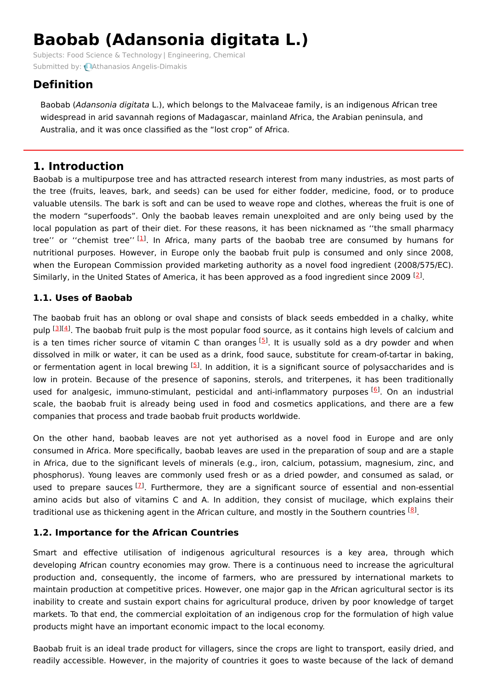# **Baobab (Adansonia digitata L.)**

Subjects: Food Science & [Technology](https://encyclopedia.pub/item/subject/201) | [Engineering,](https://encyclopedia.pub/item/subject/223) Chemical Submitted by: **Athanasios [Angelis-Dimakis](https://sciprofiles.com/profile/341833)** 

# **Definition**

Baobab (Adansonia digitata L.), which belongs to the Malvaceae family, is an indigenous African tree widespread in arid savannah regions of Madagascar, mainland Africa, the Arabian peninsula, and Australia, and it was once classified as the "lost crop" of Africa.

## **1. Introduction**

Baobab is a multipurpose tree and has attracted research interest from many industries, as most parts of the tree (fruits, leaves, bark, and seeds) can be used for either fodder, medicine, food, or to produce valuable utensils. The bark is soft and can be used to weave rope and clothes, whereas the fruit is one of the modern "superfoods". Only the baobab leaves remain unexploited and are only being used by the local population as part of their diet. For these reasons, it has been nicknamed as ''the small pharmacy tree'' or "chemist tree''<sup>[\[1](#page-3-0)]</sup>. In Africa, many parts of the baobab tree are consumed by humans for nutritional purposes. However, in Europe only the baobab fruit pulp is consumed and only since 2008, when the European Commission provided marketing authority as a novel food ingredient (2008/575/EC). Similarly, in the United States of America, it has been approved as a food ingredient since [2](#page-3-1)009  $[2]$ .

## **1.1. Uses of Baobab**

The baobab fruit has an oblong or oval shape and consists of black seeds embedded in a chalky, white pulp [[3](#page-3-2)][\[4](#page-3-3)]. The baobab fruit pulp is the most popular food source, as it contains high levels of calcium and is a ten times richer source of vitamin C than oranges <sup>[[5](#page-3-4)]</sup>. It is usually sold as a dry powder and when dissolved in milk or water, it can be used as a drink, food sauce, substitute for cream-of-tartar in baking, or fermentation agent in local brewing <sup>[[5](#page-3-4)]</sup>. In addition, it is a significant source of polysaccharides and is low in protein. Because of the presence of saponins, sterols, and triterpenes, it has been traditionally used for analgesic, immuno-stimulant, pesticidal and anti-inflammatory purposes <sup>[\[6](#page-3-5)]</sup>. On an industrial scale, the baobab fruit is already being used in food and cosmetics applications, and there are a few companies that process and trade baobab fruit products worldwide.

On the other hand, baobab leaves are not yet authorised as a novel food in Europe and are only consumed in Africa. More specifically, baobab leaves are used in the preparation of soup and are a staple in Africa, due to the significant levels of minerals (e.g., iron, calcium, potassium, magnesium, zinc, and phosphorus). Young leaves are commonly used fresh or as a dried powder, and consumed as salad, or used to prepare sauces <sup>[2]</sup>. Furthermore, they are a significant source of essential and non-essential amino acids but also of vitamins C and A. In addition, they consist of mucilage, which explains their traditional use as thickening agent in the African culture, and mostly in the Southern countries <sup>[\[8](#page-3-7)]</sup>.

## **1.2. Importance for the African Countries**

Smart and effective utilisation of indigenous agricultural resources is a key area, through which developing African country economies may grow. There is a continuous need to increase the agricultural production and, consequently, the income of farmers, who are pressured by international markets to maintain production at competitive prices. However, one major gap in the African agricultural sector is its inability to create and sustain export chains for agricultural produce, driven by poor knowledge of target markets. To that end, the commercial exploitation of an indigenous crop for the formulation of high value products might have an important economic impact to the local economy.

Baobab fruit is an ideal trade product for villagers, since the crops are light to transport, easily dried, and readily accessible. However, in the majority of countries it goes to waste because of the lack of demand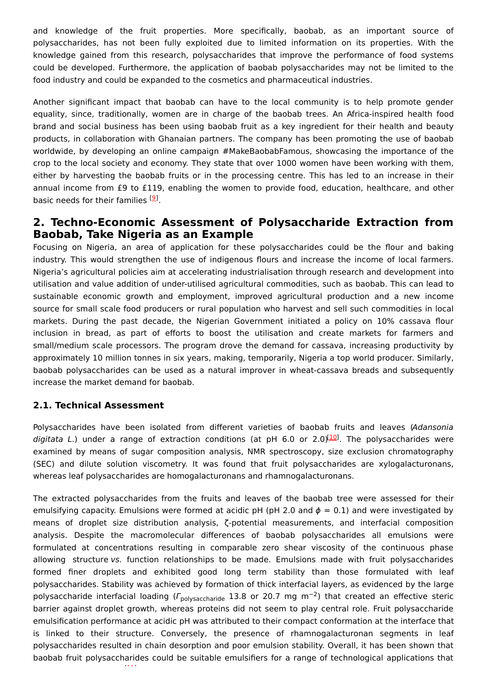and knowledge of the fruit properties. More specifically, baobab, as an important source of polysaccharides, has not been fully exploited due to limited information on its properties. With the knowledge gained from this research, polysaccharides that improve the performance of food systems could be developed. Furthermore, the application of baobab polysaccharides may not be limited to the food industry and could be expanded to the cosmetics and pharmaceutical industries.

Another significant impact that baobab can have to the local community is to help promote gender equality, since, traditionally, women are in charge of the baobab trees. An Africa-inspired health food brand and social business has been using baobab fruit as a key ingredient for their health and beauty products, in collaboration with Ghanaian partners. The company has been promoting the use of baobab worldwide, by developing an online campaign #MakeBaobabFamous, showcasing the importance of the crop to the local society and economy. They state that over 1000 women have been working with them, either by harvesting the baobab fruits or in the processing centre. This has led to an increase in their annual income from £9 to £119, enabling the women to provide food, education, healthcare, and other basic needs for their families <sup>[\[9](#page-3-8)]</sup>.

## **2. Techno-Economic Assessment of Polysaccharide Extraction from Baobab, Take Nigeria as an Example**

Focusing on Nigeria, an area of application for these polysaccharides could be the flour and baking industry. This would strengthen the use of indigenous flours and increase the income of local farmers. Nigeria's agricultural policies aim at accelerating industrialisation through research and development into utilisation and value addition of under-utilised agricultural commodities, such as baobab. This can lead to sustainable economic growth and employment, improved agricultural production and a new income source for small scale food producers or rural population who harvest and sell such commodities in local markets. During the past decade, the Nigerian Government initiated a policy on 10% cassava flour inclusion in bread, as part of efforts to boost the utilisation and create markets for farmers and small/medium scale processors. The program drove the demand for cassava, increasing productivity by approximately 10 million tonnes in six years, making, temporarily, Nigeria a top world producer. Similarly, baobab polysaccharides can be used as a natural improver in wheat-cassava breads and subsequently increase the market demand for baobab.

#### **2.1. Technical Assessment**

Polysaccharides have been isolated from different varieties of baobab fruits and leaves (Adansonia digitata L.) under a range of extraction conditions (at pH 6.0 or 2.0)<sup>[\[10](#page-3-9)]</sup>. The polysaccharides were examined by means of sugar composition analysis, NMR spectroscopy, size exclusion chromatography (SEC) and dilute solution viscometry. It was found that fruit polysaccharides are xylogalacturonans, whereas leaf polysaccharides are homogalacturonans and rhamnogalacturonans.

The extracted polysaccharides from the fruits and leaves of the baobab tree were assessed for their emulsifying capacity. Emulsions were formed at acidic pH (pH 2.0 and  $\phi = 0.1$ ) and were investigated by means of droplet size distribution analysis, ζ-potential measurements, and interfacial composition analysis. Despite the macromolecular differences of baobab polysaccharides all emulsions were formulated at concentrations resulting in comparable zero shear viscosity of the continuous phase allowing structure vs. function relationships to be made. Emulsions made with fruit polysaccharides formed finer droplets and exhibited good long term stability than those formulated with leaf polysaccharides. Stability was achieved by formation of thick interfacial layers, as evidenced by the large polysaccharide interfacial loading ( $\Gamma_{\rm polysaccharide}$  13.8 or 20.7 mg m<sup>-2</sup>) that created an effective steric barrier against droplet growth, whereas proteins did not seem to play central role. Fruit polysaccharide emulsification performance at acidic pH was attributed to their compact conformation at the interface that is linked to their structure. Conversely, the presence of rhamnogalacturonan segments in leaf polysaccharides resulted in chain desorption and poor emulsion stability. Overall, it has been shown that baobab fruit polysaccharides could be suitable emulsifiers for a range of technological applications that [11]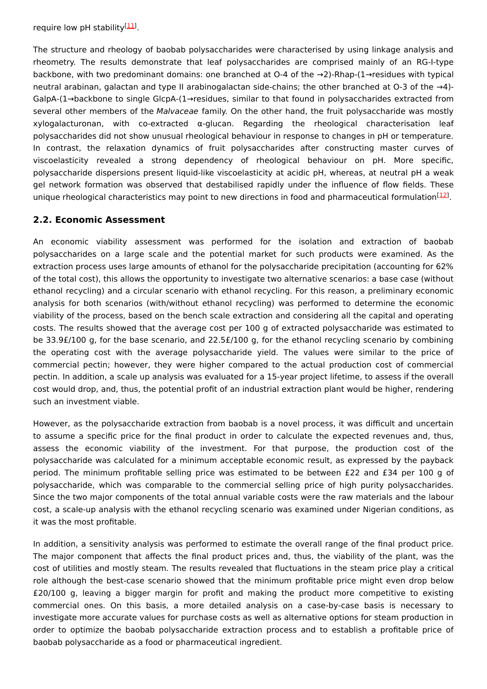require low pH stability<sup>[\[11](#page-3-10)]</sup>.

The structure and rheology of baobab polysaccharides were characterised by using linkage analysis and rheometry. The results demonstrate that leaf polysaccharides are comprised mainly of an RG-I-type backbone, with two predominant domains: one branched at O-4 of the →2)-Rhap-(1→residues with typical neutral arabinan, galactan and type II arabinogalactan side-chains; the other branched at O-3 of the →4)- GalpA-(1→backbone to single GlcpA-(1→residues, similar to that found in polysaccharides extracted from several other members of the Malvaceae family. On the other hand, the fruit polysaccharide was mostly xylogalacturonan, with co-extracted α-glucan. Regarding the rheological characterisation leaf polysaccharides did not show unusual rheological behaviour in response to changes in pH or temperature. In contrast, the relaxation dynamics of fruit polysaccharides after constructing master curves of viscoelasticity revealed a strong dependency of rheological behaviour on pH. More specific, polysaccharide dispersions present liquid-like viscoelasticity at acidic pH, whereas, at neutral pH a weak gel network formation was observed that destabilised rapidly under the influence of flow fields. These unique rheological characteristics may point to new directions in food and pharmaceutical formulation<sup>[\[12](#page-3-11)]</sup>.

### **2.2. Economic Assessment**

An economic viability assessment was performed for the isolation and extraction of baobab polysaccharides on a large scale and the potential market for such products were examined. As the extraction process uses large amounts of ethanol for the polysaccharide precipitation (accounting for 62% of the total cost), this allows the opportunity to investigate two alternative scenarios: a base case (without ethanol recycling) and a circular scenario with ethanol recycling. For this reason, a preliminary economic analysis for both scenarios (with/without ethanol recycling) was performed to determine the economic viability of the process, based on the bench scale extraction and considering all the capital and operating costs. The results showed that the average cost per 100 g of extracted polysaccharide was estimated to be 33.9£/100 g, for the base scenario, and 22.5£/100 g, for the ethanol recycling scenario by combining the operating cost with the average polysaccharide yield. The values were similar to the price of commercial pectin; however, they were higher compared to the actual production cost of commercial pectin. In addition, a scale up analysis was evaluated for a 15-year project lifetime, to assess if the overall cost would drop, and, thus, the potential profit of an industrial extraction plant would be higher, rendering such an investment viable.

However, as the polysaccharide extraction from baobab is a novel process, it was difficult and uncertain to assume a specific price for the final product in order to calculate the expected revenues and, thus, assess the economic viability of the investment. For that purpose, the production cost of the polysaccharide was calculated for a minimum acceptable economic result, as expressed by the payback period. The minimum profitable selling price was estimated to be between £22 and £34 per 100 g of polysaccharide, which was comparable to the commercial selling price of high purity polysaccharides. Since the two major components of the total annual variable costs were the raw materials and the labour cost, a scale-up analysis with the ethanol recycling scenario was examined under Nigerian conditions, as it was the most profitable.

In addition, a sensitivity analysis was performed to estimate the overall range of the final product price. The major component that affects the final product prices and, thus, the viability of the plant, was the cost of utilities and mostly steam. The results revealed that fluctuations in the steam price play a critical role although the best-case scenario showed that the minimum profitable price might even drop below £20/100 g, leaving a bigger margin for profit and making the product more competitive to existing commercial ones. On this basis, a more detailed analysis on a case-by-case basis is necessary to investigate more accurate values for purchase costs as well as alternative options for steam production in order to optimize the baobab polysaccharide extraction process and to establish a profitable price of baobab polysaccharide as a food or pharmaceutical ingredient.